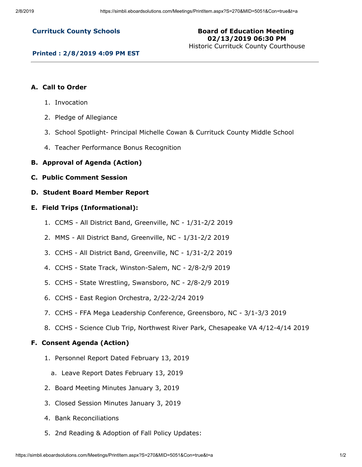## **Currituck County Schools**

# **Board of Education Meeting 02/13/2019 06:30 PM**

Historic Currituck County Courthouse

#### **Printed : 2/8/2019 4:09 PM EST**

### **A. Call to Order**

- 1. Invocation
- 2. Pledge of Allegiance
- 3. School Spotlight- Principal Michelle Cowan & Currituck County Middle School
- 4. Teacher Performance Bonus Recognition
- **B. Approval of Agenda (Action)**
- **C. Public Comment Session**
- **D. Student Board Member Report**

#### **E. Field Trips (Informational):**

- 1. CCMS All District Band, Greenville, NC 1/31-2/2 2019
- 2. MMS All District Band, Greenville, NC 1/31-2/2 2019
- 3. CCHS All District Band, Greenville, NC 1/31-2/2 2019
- 4. CCHS State Track, Winston-Salem, NC 2/8-2/9 2019
- 5. CCHS State Wrestling, Swansboro, NC 2/8-2/9 2019
- 6. CCHS East Region Orchestra, 2/22-2/24 2019
- 7. CCHS FFA Mega Leadership Conference, Greensboro, NC 3/1-3/3 2019
- 8. CCHS Science Club Trip, Northwest River Park, Chesapeake VA 4/12-4/14 2019

### **F. Consent Agenda (Action)**

- 1. Personnel Report Dated February 13, 2019
	- a. Leave Report Dates February 13, 2019
- 2. Board Meeting Minutes January 3, 2019
- 3. Closed Session Minutes January 3, 2019
- 4. Bank Reconciliations
- 5. 2nd Reading & Adoption of Fall Policy Updates: